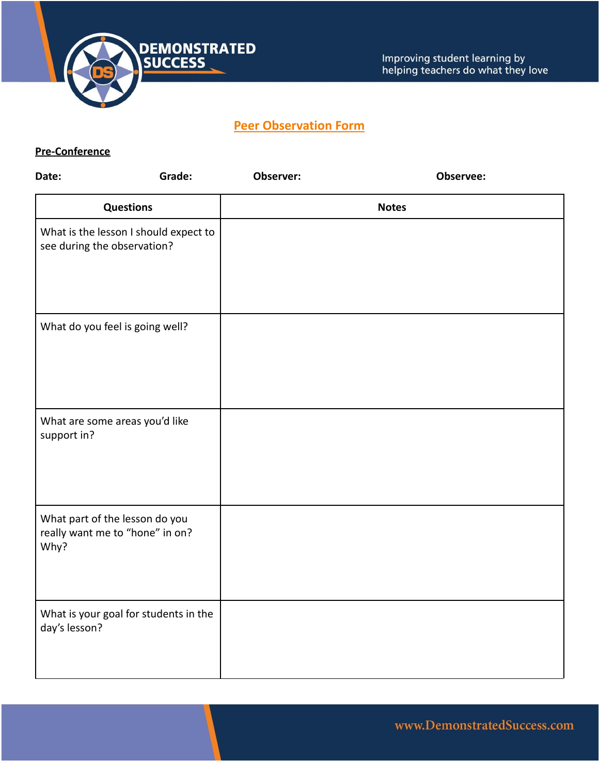

### **Peer Observation Form**

#### **Pre-Conference**

| Date:                                                                     | Grade: | Observer:    | Observee: |  |
|---------------------------------------------------------------------------|--------|--------------|-----------|--|
| <b>Questions</b>                                                          |        | <b>Notes</b> |           |  |
| What is the lesson I should expect to<br>see during the observation?      |        |              |           |  |
| What do you feel is going well?                                           |        |              |           |  |
| What are some areas you'd like<br>support in?                             |        |              |           |  |
| What part of the lesson do you<br>really want me to "hone" in on?<br>Why? |        |              |           |  |
| What is your goal for students in the<br>day's lesson?                    |        |              |           |  |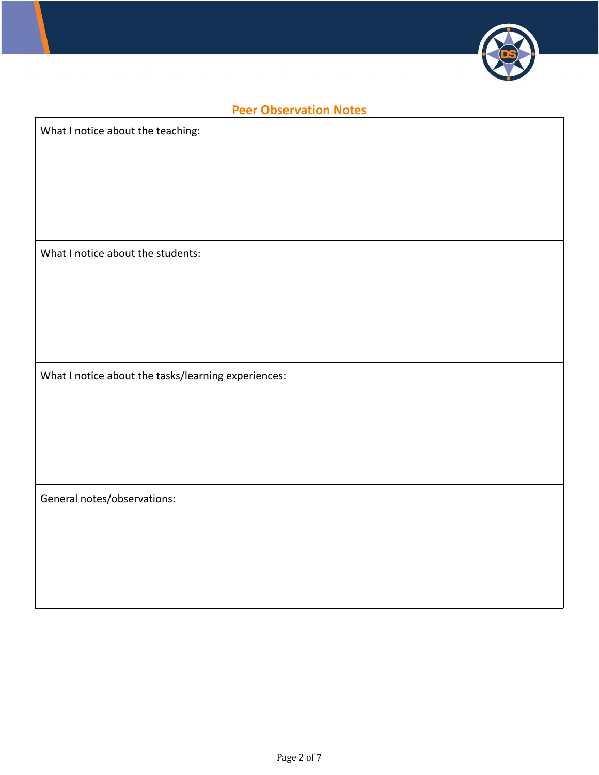

## **Peer Observation Notes**

What I notice about the teaching:

What I notice about the students:

What I notice about the tasks/learning experiences:

General notes/observations: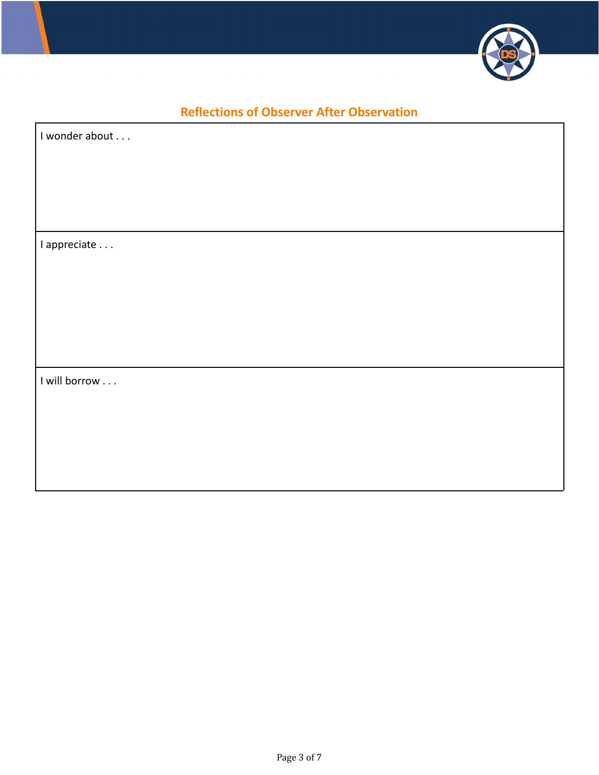

## **Reflections of Observer After Observation**

г

| I wonder about |  |
|----------------|--|
|                |  |
|                |  |
|                |  |
|                |  |
|                |  |
| I appreciate   |  |
|                |  |
|                |  |
|                |  |
|                |  |
|                |  |
|                |  |
|                |  |
| I will borrow  |  |
|                |  |
|                |  |
|                |  |
|                |  |
|                |  |
|                |  |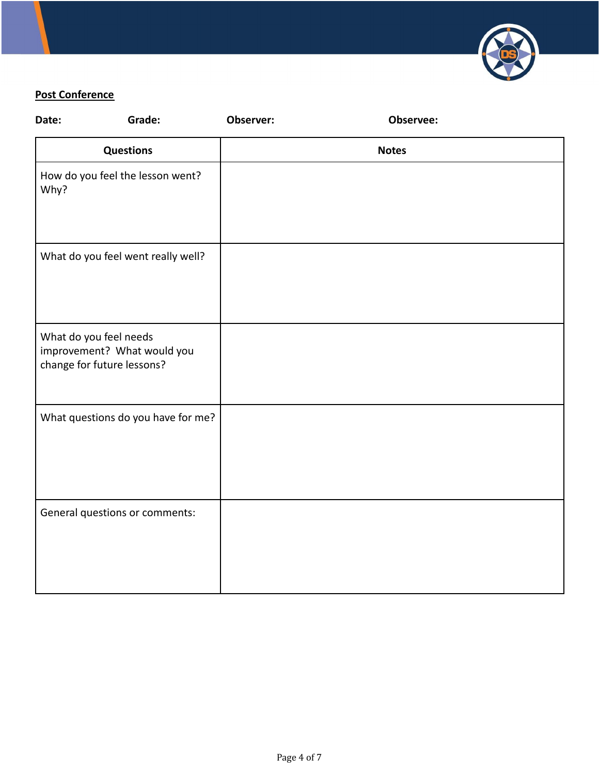

### **Post Conference**

| Date: | Grade:                                                                              | Observer: | Observee:    |  |
|-------|-------------------------------------------------------------------------------------|-----------|--------------|--|
|       | <b>Questions</b>                                                                    |           | <b>Notes</b> |  |
| Why?  | How do you feel the lesson went?                                                    |           |              |  |
|       | What do you feel went really well?                                                  |           |              |  |
|       | What do you feel needs<br>improvement? What would you<br>change for future lessons? |           |              |  |
|       | What questions do you have for me?                                                  |           |              |  |
|       | General questions or comments:                                                      |           |              |  |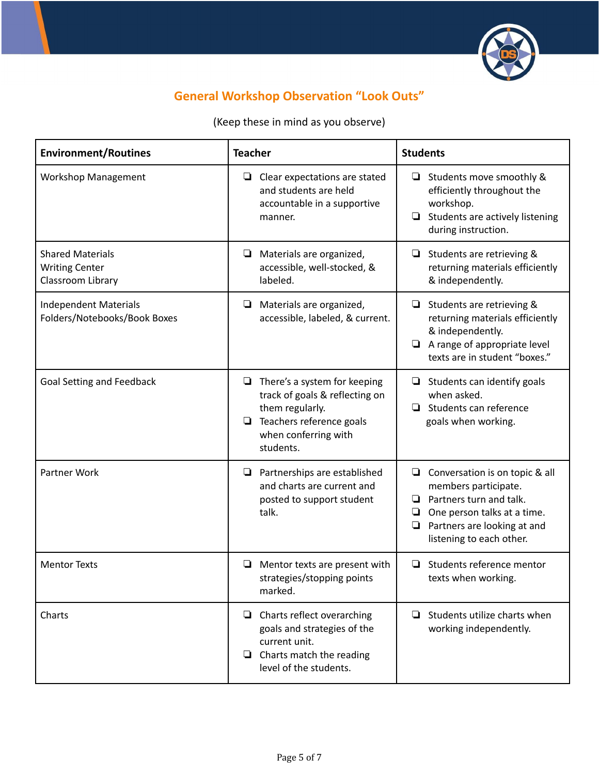

# **General Workshop Observation "Look Outs"**

(Keep these in mind as you observe)

| <b>Environment/Routines</b>                                           | <b>Teacher</b>                                                                                                                                               |                                                                                                                                                                                                      |
|-----------------------------------------------------------------------|--------------------------------------------------------------------------------------------------------------------------------------------------------------|------------------------------------------------------------------------------------------------------------------------------------------------------------------------------------------------------|
| <b>Workshop Management</b>                                            | ❏<br>Clear expectations are stated<br>and students are held<br>accountable in a supportive<br>manner.                                                        | Students move smoothly &<br>❏<br>efficiently throughout the<br>workshop.<br>Students are actively listening<br>$\Box$<br>during instruction.                                                         |
| <b>Shared Materials</b><br><b>Writing Center</b><br>Classroom Library | Materials are organized,<br>❏<br>accessible, well-stocked, &<br>labeled.                                                                                     | Students are retrieving &<br>❏<br>returning materials efficiently<br>& independently.                                                                                                                |
| <b>Independent Materials</b><br>Folders/Notebooks/Book Boxes          | Materials are organized,<br>$\Box$<br>accessible, labeled, & current.                                                                                        | Students are retrieving &<br>returning materials efficiently<br>& independently.<br>A range of appropriate level<br>$\Box$<br>texts are in student "boxes."                                          |
| <b>Goal Setting and Feedback</b>                                      | There's a system for keeping<br>❏<br>track of goals & reflecting on<br>them regularly.<br>Teachers reference goals<br>❏<br>when conferring with<br>students. | Students can identify goals<br>❏<br>when asked.<br>Students can reference<br>◘<br>goals when working.                                                                                                |
| Partner Work                                                          | $\Box$ Partnerships are established<br>and charts are current and<br>posted to support student<br>talk.                                                      | Conversation is on topic & all<br>❏<br>members participate.<br>Partners turn and talk.<br>⊔<br>One person talks at a time.<br>Q<br>$\Box$<br>Partners are looking at and<br>listening to each other. |
| <b>Mentor Texts</b>                                                   | Mentor texts are present with<br>⊔<br>strategies/stopping points<br>marked.                                                                                  | Students reference mentor<br>⊔<br>texts when working.                                                                                                                                                |
| Charts                                                                | $\Box$ Charts reflect overarching<br>goals and strategies of the<br>current unit.<br>$\Box$ Charts match the reading<br>level of the students.               | $\Box$ Students utilize charts when<br>working independently.                                                                                                                                        |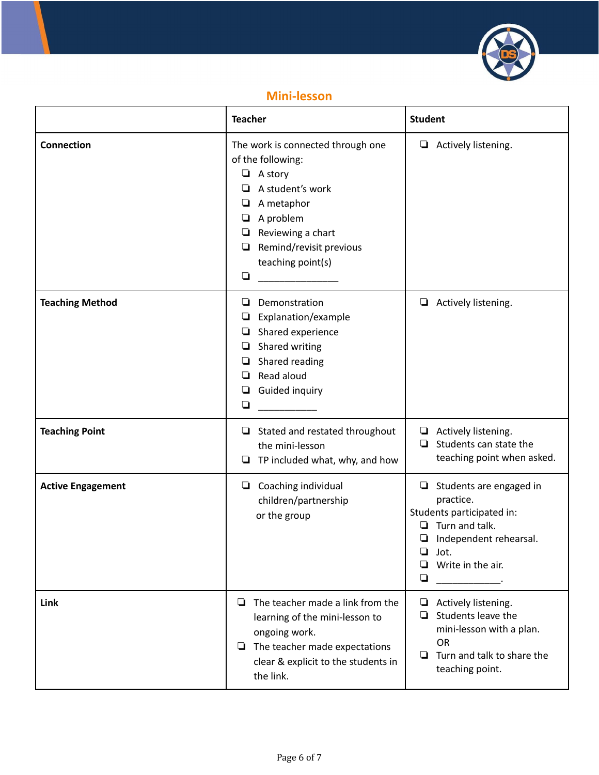

### **Mini-lesson**

|                          | <b>Teacher</b>                                                                                                                                                                                                        | <b>Student</b>                                                                                                                                                                  |
|--------------------------|-----------------------------------------------------------------------------------------------------------------------------------------------------------------------------------------------------------------------|---------------------------------------------------------------------------------------------------------------------------------------------------------------------------------|
| <b>Connection</b>        | The work is connected through one<br>of the following:<br>$\Box$ A story<br>A student's work<br>A metaphor<br>⊔<br>A problem<br>⊔<br>Reviewing a chart<br>Remind/revisit previous<br>⊔<br>teaching point(s)<br>$\Box$ | Actively listening.<br>⊔                                                                                                                                                        |
| <b>Teaching Method</b>   | Demonstration<br>⊔<br>Explanation/example<br>⊔<br>Shared experience<br>❏<br>Shared writing<br>⊔<br>Shared reading<br>⊔<br>Read aloud<br>u<br>Guided inquiry<br>❏<br>❏                                                 | Actively listening.<br>$\Box$                                                                                                                                                   |
| <b>Teaching Point</b>    | $\Box$ Stated and restated throughout<br>the mini-lesson<br>TP included what, why, and how<br>Q                                                                                                                       | Actively listening.<br>❏<br>Students can state the<br>ப<br>teaching point when asked.                                                                                           |
| <b>Active Engagement</b> | $\Box$ Coaching individual<br>children/partnership<br>or the group                                                                                                                                                    | $\Box$ Students are engaged in<br>practice.<br>Students participated in:<br>Turn and talk.<br>ப<br>❏<br>Independent rehearsal.<br>❏<br>Jot.<br>❏<br>Write in the air.<br>$\Box$ |
| Link                     | The teacher made a link from the<br>u<br>learning of the mini-lesson to<br>ongoing work.<br>The teacher made expectations<br>□<br>clear & explicit to the students in<br>the link.                                    | Actively listening.<br>❏<br>Students leave the<br>❏<br>mini-lesson with a plan.<br>OR<br>Turn and talk to share the<br>u<br>teaching point.                                     |